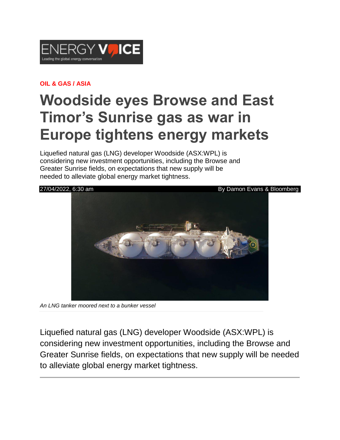

## **OIL & GAS / ASIA**

## **Woodside eyes Browse and East Timor's Sunrise gas as war in Europe tightens energy markets**

Liquefied natural gas (LNG) developer Woodside (ASX:WPL) is considering new investment opportunities, including the Browse and Greater Sunrise fields, on expectations that new supply will be needed to alleviate global energy market tightness.



*An LNG tanker moored next to a bunker vessel*

Liquefied natural gas (LNG) developer Woodside (ASX:WPL) is considering new investment opportunities, including the Browse and Greater Sunrise fields, on expectations that new supply will be needed to alleviate global energy market tightness.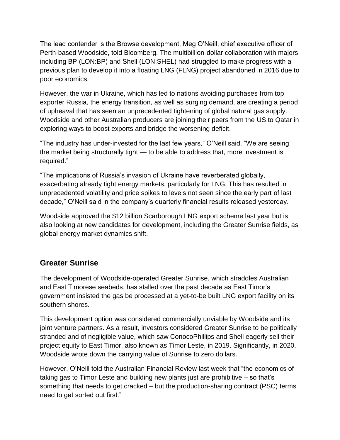The lead contender is the Browse development, Meg O'Neill, chief executive officer of Perth-based Woodside, told Bloomberg. The multibillion-dollar collaboration with majors including BP (LON:BP) and Shell (LON:SHEL) had struggled to make progress with a previous plan to develop it into a floating LNG (FLNG) project abandoned in 2016 due to poor economics.

However, the war in Ukraine, which has led to nations avoiding purchases from top exporter Russia, the energy transition, as well as surging demand, are creating a period of upheaval that has seen an unprecedented tightening of global natural gas supply. Woodside and other Australian producers are joining their peers from the US to Qatar in exploring ways to boost exports and bridge the worsening deficit.

"The industry has under-invested for the last few years," O'Neill said. "We are seeing the market being structurally tight — to be able to address that, more investment is required."

"The implications of Russia's invasion of Ukraine have reverberated globally, exacerbating already tight energy markets, particularly for LNG. This has resulted in unprecedented volatility and price spikes to levels not seen since the early part of last decade," O'Neill said in the company's quarterly financial results released yesterday.

Woodside approved the \$12 billion Scarborough LNG export scheme last year but is also looking at new candidates for development, including the Greater Sunrise fields, as global energy market dynamics shift.

## **Greater Sunrise**

The development of Woodside-operated Greater Sunrise, which straddles Australian and East Timorese seabeds, has stalled over the past decade as East Timor's government insisted the gas be processed at a yet-to-be built LNG export facility on its southern shores.

This development option was considered commercially unviable by Woodside and its joint venture partners. As a result, investors considered Greater Sunrise to be politically stranded and of negligible value, which saw ConocoPhillips and Shell eagerly sell their project equity to East Timor, also known as Timor Leste, in 2019. Significantly, in 2020, Woodside wrote down the carrying value of Sunrise to zero dollars.

However, O'Neill told the Australian Financial Review last week that "the economics of taking gas to Timor Leste and building new plants just are prohibitive – so that's something that needs to get cracked – but the production-sharing contract (PSC) terms need to get sorted out first."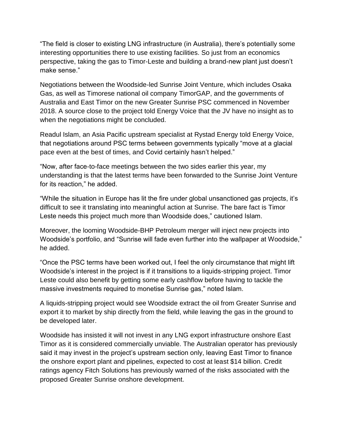"The field is closer to existing LNG infrastructure (in Australia), there's potentially some interesting opportunities there to use existing facilities. So just from an economics perspective, taking the gas to Timor-Leste and building a brand-new plant just doesn't make sense."

Negotiations between the Woodside-led Sunrise Joint Venture, which includes Osaka Gas, as well as Timorese national oil company TimorGAP, and the governments of Australia and East Timor on the new Greater Sunrise PSC commenced in November 2018. A source close to the project told Energy Voice that the JV have no insight as to when the negotiations might be concluded.

Readul Islam, an Asia Pacific upstream specialist at Rystad Energy told Energy Voice, that negotiations around PSC terms between governments typically "move at a glacial pace even at the best of times, and Covid certainly hasn't helped."

"Now, after face-to-face meetings between the two sides earlier this year, my understanding is that the latest terms have been forwarded to the Sunrise Joint Venture for its reaction," he added.

"While the situation in Europe has lit the fire under global unsanctioned gas projects, it's difficult to see it translating into meaningful action at Sunrise. The bare fact is Timor Leste needs this project much more than Woodside does," cautioned Islam.

Moreover, the looming Woodside-BHP Petroleum merger will inject new projects into Woodside's portfolio, and "Sunrise will fade even further into the wallpaper at Woodside," he added.

"Once the PSC terms have been worked out, I feel the only circumstance that might lift Woodside's interest in the project is if it transitions to a liquids-stripping project. Timor Leste could also benefit by getting some early cashflow before having to tackle the massive investments required to monetise Sunrise gas," noted Islam.

A liquids-stripping project would see Woodside extract the oil from Greater Sunrise and export it to market by ship directly from the field, while leaving the gas in the ground to be developed later.

Woodside has insisted it will not invest in any LNG export infrastructure onshore East Timor as it is considered commercially unviable. The Australian operator has previously said it may invest in the project's upstream section only, leaving East Timor to finance the onshore export plant and pipelines, expected to cost at least \$14 billion. Credit ratings agency Fitch Solutions has previously warned of the risks associated with the proposed Greater Sunrise onshore development.